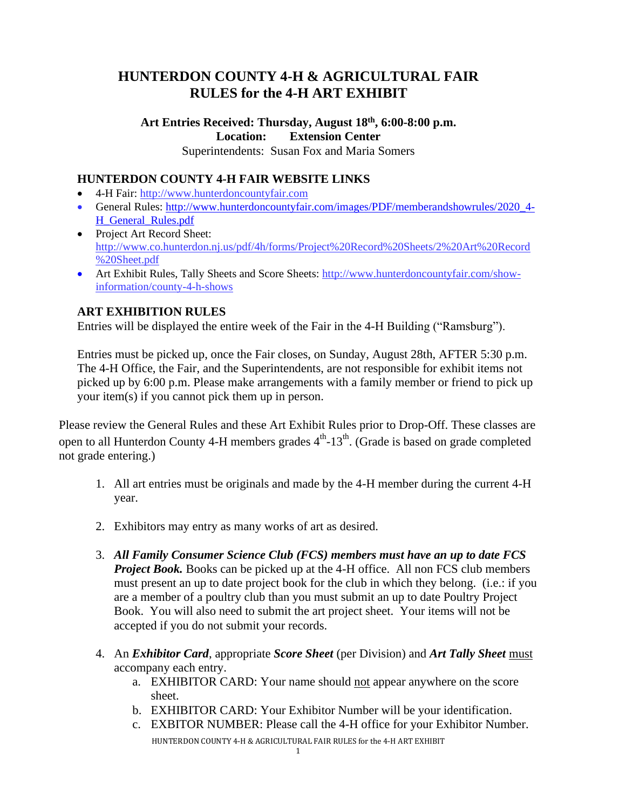# **HUNTERDON COUNTY 4-H & AGRICULTURAL FAIR RULES for the 4-H ART EXHIBIT**

## **Art Entries Received: Thursday, August 18 th , 6:00-8:00 p.m. Location: Extension Center**

Superintendents: Susan Fox and Maria Somers

### **HUNTERDON COUNTY 4-H FAIR WEBSITE LINKS**

- 4-H Fair: http://www.hunterdoncountyfair.com
- General Rules: [http://www.hunterdoncountyfair.com/images/PDF/memberandshowrules/2020\\_4-](http://www.hunterdoncountyfair.com/images/PDF/memberandshowrules/2020_4-H_General_Rules.pdf) [H\\_General\\_Rules.pdf](http://www.hunterdoncountyfair.com/images/PDF/memberandshowrules/2020_4-H_General_Rules.pdf)
- Project Art Record Sheet: [http://www.co.hunterdon.nj.us/pdf/4h/forms/Project%20Record%20Sheets/2%20Art%20Record](http://www.co.hunterdon.nj.us/pdf/4h/forms/Project%20Record%20Sheets/2%20Art%20Record%20Sheet.pdf) [%20Sheet.pdf](http://www.co.hunterdon.nj.us/pdf/4h/forms/Project%20Record%20Sheets/2%20Art%20Record%20Sheet.pdf)
- Art Exhibit Rules, Tally Sheets and Score Sheets: [http://www.hunterdoncountyfair.com/show](http://www.hunterdoncountyfair.com/show-information/county-4-h-shows)[information/county-4-h-shows](http://www.hunterdoncountyfair.com/show-information/county-4-h-shows)

## **ART EXHIBITION RULES**

Entries will be displayed the entire week of the Fair in the 4-H Building ("Ramsburg").

Entries must be picked up, once the Fair closes, on Sunday, August 28th, AFTER 5:30 p.m. The 4-H Office, the Fair, and the Superintendents, are not responsible for exhibit items not picked up by 6:00 p.m. Please make arrangements with a family member or friend to pick up your item(s) if you cannot pick them up in person.

Please review the General Rules and these Art Exhibit Rules prior to Drop-Off. These classes are open to all Hunterdon County 4-H members grades  $4<sup>th</sup>$ -13<sup>th</sup>. (Grade is based on grade completed not grade entering.)

- 1. All art entries must be originals and made by the 4-H member during the current 4-H year.
- 2. Exhibitors may entry as many works of art as desired.
- 3. *All Family Consumer Science Club (FCS) members must have an up to date FCS Project Book.* Books can be picked up at the 4-H office. All non FCS club members must present an up to date project book for the club in which they belong. (i.e.: if you are a member of a poultry club than you must submit an up to date Poultry Project Book. You will also need to submit the art project sheet. Your items will not be accepted if you do not submit your records.
- 4. An *Exhibitor Card*, appropriate *Score Sheet* (per Division) and *Art Tally Sheet* must accompany each entry.
	- a. EXHIBITOR CARD: Your name should not appear anywhere on the score sheet.
	- b. EXHIBITOR CARD: Your Exhibitor Number will be your identification.
	- HUNTERDON COUNTY 4-H & AGRICULTURAL FAIR RULES for the 4-H ART EXHIBIT c. EXBITOR NUMBER: Please call the 4-H office for your Exhibitor Number.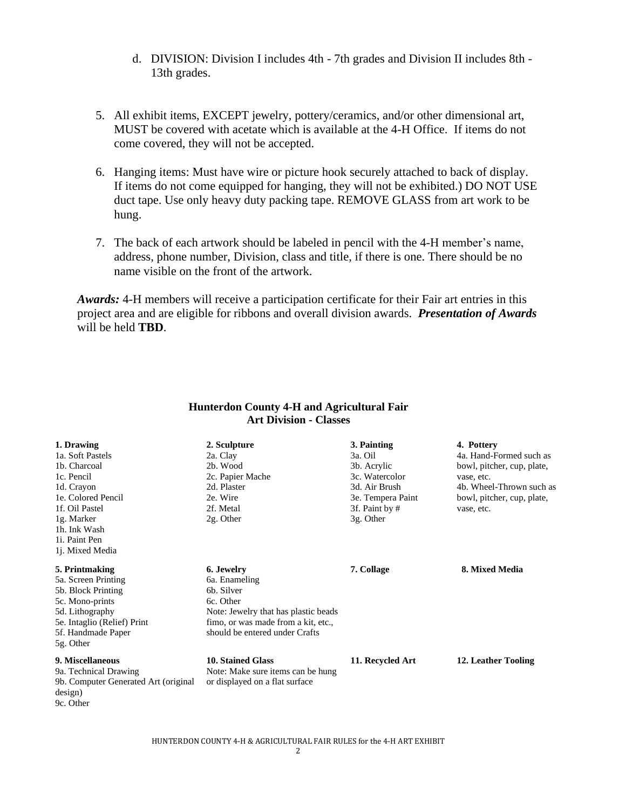- d. DIVISION: Division I includes 4th 7th grades and Division II includes 8th 13th grades.
- 5. All exhibit items, EXCEPT jewelry, pottery/ceramics, and/or other dimensional art, MUST be covered with acetate which is available at the 4-H Office. If items do not come covered, they will not be accepted.
- 6. Hanging items: Must have wire or picture hook securely attached to back of display. If items do not come equipped for hanging, they will not be exhibited.) DO NOT USE duct tape. Use only heavy duty packing tape. REMOVE GLASS from art work to be hung.
- 7. The back of each artwork should be labeled in pencil with the 4-H member's name, address, phone number, Division, class and title, if there is one. There should be no name visible on the front of the artwork.

*Awards:* 4-H members will receive a participation certificate for their Fair art entries in this project area and are eligible for ribbons and overall division awards. *Presentation of Awards*  will be held **TBD**.

| ATUDIVISION - URSSES                 |                                      |                   |                            |
|--------------------------------------|--------------------------------------|-------------------|----------------------------|
| 1. Drawing                           | 2. Sculpture                         | 3. Painting       | 4. Pottery                 |
| 1a. Soft Pastels                     | 2a. Clay                             | 3a. Oil           | 4a. Hand-Formed such as    |
| 1b. Charcoal                         | 2 <sub>b</sub> . Wood                | 3b. Acrylic       | bowl, pitcher, cup, plate, |
| 1c. Pencil                           | 2c. Papier Mache                     | 3c. Watercolor    | vase, etc.                 |
| 1d. Crayon                           | 2d. Plaster                          | 3d. Air Brush     | 4b. Wheel-Thrown such as   |
| 1e. Colored Pencil                   | 2e. Wire                             | 3e. Tempera Paint | bowl, pitcher, cup, plate, |
| 1f. Oil Pastel                       | 2f. Metal                            | 3f. Paint by #    | vase, etc.                 |
| 1g. Marker                           | 2g. Other                            | 3g. Other         |                            |
| 1h. Ink Wash                         |                                      |                   |                            |
| 1i. Paint Pen                        |                                      |                   |                            |
| 1j. Mixed Media                      |                                      |                   |                            |
| 5. Printmaking                       | 6. Jewelry                           | 7. Collage        | 8. Mixed Media             |
| 5a. Screen Printing                  | 6a. Enameling                        |                   |                            |
| 5b. Block Printing                   | 6 <sub>b</sub> . Silver              |                   |                            |
| 5c. Mono-prints                      | 6c. Other                            |                   |                            |
| 5d. Lithography                      | Note: Jewelry that has plastic beads |                   |                            |
| 5e. Intaglio (Relief) Print          | fimo, or was made from a kit, etc.,  |                   |                            |
| 5f. Handmade Paper                   | should be entered under Crafts       |                   |                            |
| 5g. Other                            |                                      |                   |                            |
| 9. Miscellaneous                     | 10. Stained Glass                    | 11. Recycled Art  | 12. Leather Tooling        |
| 9a. Technical Drawing                | Note: Make sure items can be hung    |                   |                            |
| 9b. Computer Generated Art (original | or displayed on a flat surface       |                   |                            |
| design)                              |                                      |                   |                            |
| 9c. Other                            |                                      |                   |                            |

#### **Hunterdon County 4-H and Agricultural Fair Art Division - Classes**